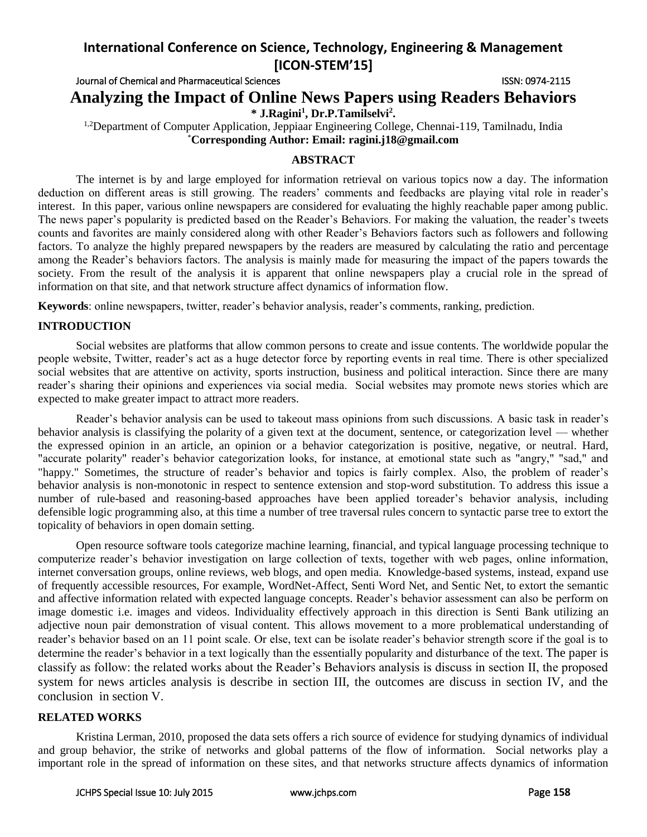# **International Conference on Science, Technology, Engineering & Management [ICON-STEM'15]**

# Journal of Chemical and Pharmaceutical Sciences ISSN: 0974-2115 **Analyzing the Impact of Online News Papers using Readers Behaviors \* J.Ragini<sup>1</sup> , Dr.P.Tamilselvi<sup>2</sup> .**

<sup>1,2</sup>Department of Computer Application, Jeppiaar Engineering College, Chennai-119, Tamilnadu, India \***Corresponding Author: Email: ragini.j18@gmail.com**

# **ABSTRACT**

The internet is by and large employed for information retrieval on various topics now a day. The information deduction on different areas is still growing. The readers' comments and feedbacks are playing vital role in reader's interest. In this paper, various online newspapers are considered for evaluating the highly reachable paper among public. The news paper's popularity is predicted based on the Reader's Behaviors. For making the valuation, the reader's tweets counts and favorites are mainly considered along with other Reader's Behaviors factors such as followers and following factors. To analyze the highly prepared newspapers by the readers are measured by calculating the ratio and percentage among the Reader's behaviors factors. The analysis is mainly made for measuring the impact of the papers towards the society. From the result of the analysis it is apparent that online newspapers play a crucial role in the spread of information on that site, and that network structure affect dynamics of information flow.

**Keywords**: online newspapers, twitter, reader's behavior analysis, reader's comments, ranking, prediction.

# **INTRODUCTION**

Social websites are platforms that allow common persons to create and issue contents. The worldwide popular the people website, Twitter, reader's act as a huge detector force by reporting events in real time. There is other specialized social websites that are attentive on activity, sports instruction, business and political interaction. Since there are many reader's sharing their opinions and experiences via social media. Social websites may promote news stories which are expected to make greater impact to attract more readers.

Reader's behavior analysis can be used to takeout mass opinions from such discussions. A basic task in reader's behavior analysis is classifying the polarity of a given text at the document, sentence, or categorization level — whether the expressed opinion in an article, an opinion or a behavior categorization is positive, negative, or neutral. Hard, "accurate polarity" reader's behavior categorization looks, for instance, at emotional state such as "angry," "sad," and "happy." Sometimes, the structure of reader's behavior and topics is fairly complex. Also, the problem of reader's behavior analysis is non-monotonic in respect to sentence extension and stop-word substitution. To address this issue a number of rule-based and reasoning-based approaches have been applied toreader's behavior analysis, including defensible logic programming also, at this time a number of tree traversal rules concern to syntactic parse tree to extort the topicality of behaviors in open domain setting.

Open resource software tools categorize machine learning, financial, and typical language processing technique to computerize reader's behavior investigation on large collection of texts, together with web pages, online information, internet conversation groups, online reviews, web blogs, and open media. Knowledge-based systems, instead, expand use of frequently accessible resources, For example, WordNet-Affect, Senti Word Net, and Sentic Net, to extort the semantic and affective information related with expected language concepts. Reader's behavior assessment can also be perform on image domestic i.e. images and videos. Individuality effectively approach in this direction is Senti Bank utilizing an adjective noun pair demonstration of visual content. This allows movement to a more problematical understanding of reader's behavior based on an 11 point scale. Or else, text can be isolate reader's behavior strength score if the goal is to determine the reader's behavior in a text logically than the essentially popularity and disturbance of the text. The paper is classify as follow: the related works about the Reader's Behaviors analysis is discuss in section II, the proposed system for news articles analysis is describe in section III, the outcomes are discuss in section IV, and the conclusion in section V.

#### **RELATED WORKS**

Kristina Lerman, 2010, proposed the data sets offers a rich source of evidence for studying dynamics of individual and group behavior, the strike of networks and global patterns of the flow of information. Social networks play a important role in the spread of information on these sites, and that networks structure affects dynamics of information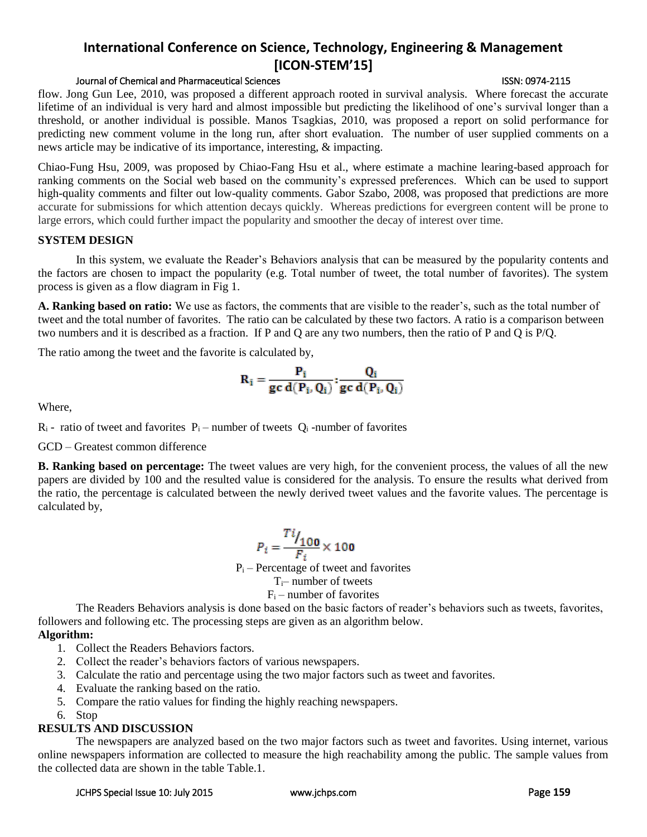# In this system, we evaluate the Reader's Behaviors analysis that can be measured by the popularity contents and

news article may be indicative of its importance, interesting, & impacting.

the factors are chosen to impact the popularity (e.g. Total number of tweet, the total number of favorites). The system process is given as a flow diagram in Fig 1.

**International Conference on Science, Technology, Engineering & Management [ICON-STEM'15]**

flow. Jong Gun Lee, 2010, was proposed a different approach rooted in survival analysis. Where forecast the accurate lifetime of an individual is very hard and almost impossible but predicting the likelihood of one's survival longer than a threshold, or another individual is possible. Manos Tsagkias, 2010, was proposed a report on solid performance for predicting new comment volume in the long run, after short evaluation. The number of user supplied comments on a

Chiao-Fung Hsu, 2009, was proposed by Chiao-Fang Hsu et al., where estimate a machine learing-based approach for ranking comments on the Social web based on the community's expressed preferences. Which can be used to support high-quality comments and filter out low-quality comments. Gabor Szabo, 2008, was proposed that predictions are more accurate for submissions for which attention decays quickly. Whereas predictions for evergreen content will be prone to

large errors, which could further impact the popularity and smoother the decay of interest over time.

**A. Ranking based on ratio:** We use as factors, the comments that are visible to the reader's, such as the total number of tweet and the total number of favorites. The ratio can be calculated by these two factors. A ratio is a comparison between two numbers and it is described as a fraction. If P and Q are any two numbers, then the ratio of P and Q is P/Q.

The ratio among the tweet and the favorite is calculated by,

$$
\mathbf{R}_{i} = \frac{\mathbf{P}_{i}}{\mathbf{g} \mathbf{c} \mathbf{d}(\mathbf{P}_{i}, \mathbf{Q}_{i})} ; \frac{\mathbf{Q}_{i}}{\mathbf{g} \mathbf{c} \mathbf{d}(\mathbf{P}_{i}, \mathbf{Q}_{i})}
$$

Where,

**SYSTEM DESIGN**

 $R_i$  - ratio of tweet and favorites  $P_i$  – number of tweets  $Q_i$  -number of favorites

#### GCD – Greatest common difference

**B. Ranking based on percentage:** The tweet values are very high, for the convenient process, the values of all the new papers are divided by 100 and the resulted value is considered for the analysis. To ensure the results what derived from the ratio, the percentage is calculated between the newly derived tweet values and the favorite values. The percentage is calculated by,

$$
P_i = \frac{T i \cdot I_{100}}{F_i} \times 100
$$

 $P_i$  – Percentage of tweet and favorites

 $T_i$ – number of tweets

# $F_i$  – number of favorites

The Readers Behaviors analysis is done based on the basic factors of reader's behaviors such as tweets, favorites, followers and following etc. The processing steps are given as an algorithm below.

# **Algorithm:**

- 1. Collect the Readers Behaviors factors.
- 2. Collect the reader's behaviors factors of various newspapers.
- 3. Calculate the ratio and percentage using the two major factors such as tweet and favorites.
- 4. Evaluate the ranking based on the ratio.
- 5. Compare the ratio values for finding the highly reaching newspapers.
- 6. Stop

# **RESULTS AND DISCUSSION**

The newspapers are analyzed based on the two major factors such as tweet and favorites. Using internet, various online newspapers information are collected to measure the high reachability among the public. The sample values from the collected data are shown in the table Table.1.

# Journal of Chemical and Pharmaceutical Sciences ISSN: 0974-2115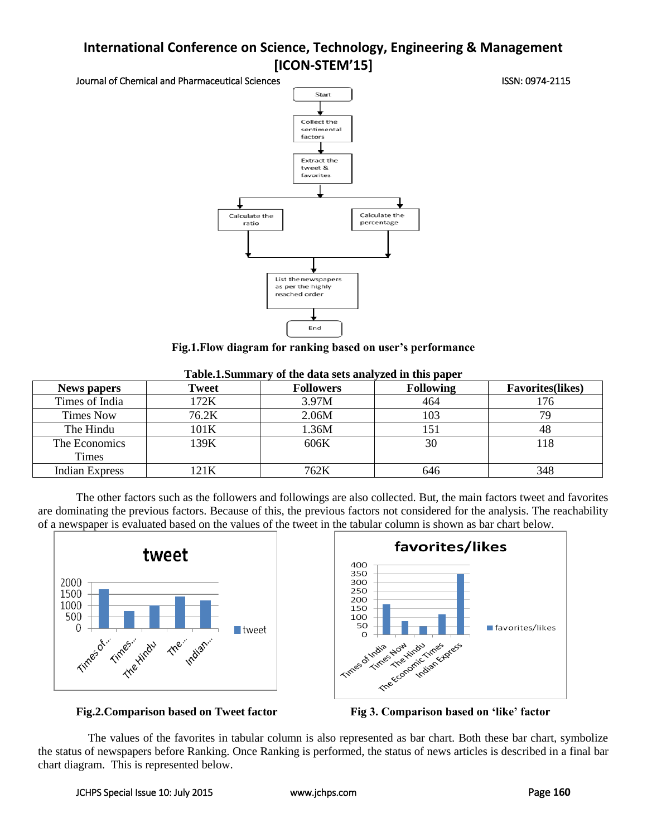# **International Conference on Science, Technology, Engineering & Management [ICON-STEM'15]**

Journal of Chemical and Pharmaceutical Sciences **ISSN: 0974-2115** ISSN: 0974-2115



**Fig.1.Flow diagram for ranking based on user's performance**

| <b>News papers</b>    | Tweet | <b>Followers</b> | <b>Following</b> | <b>Favorites(likes)</b> |  |
|-----------------------|-------|------------------|------------------|-------------------------|--|
| Times of India        | 172K  | 3.97M            | 464              | 176                     |  |
| Times Now             | 76.2K | 2.06M            | 103              | 79                      |  |
| The Hindu             | 101K  | 1.36M            | 151              | 48                      |  |
| The Economics         | 139K  | 606K             | 30               | 118                     |  |
| <b>Times</b>          |       |                  |                  |                         |  |
| <b>Indian Express</b> | 121K  | 762K             | 646              | 348                     |  |

| Table.1.Summary of the data sets analyzed in this paper |  |  |  |  |  |  |  |
|---------------------------------------------------------|--|--|--|--|--|--|--|
|---------------------------------------------------------|--|--|--|--|--|--|--|

The other factors such as the followers and followings are also collected. But, the main factors tweet and favorites are dominating the previous factors. Because of this, the previous factors not considered for the analysis. The reachability of a newspaper is evaluated based on the values of the tweet in the tabular column is shown as bar chart below.





# **Fig.2.Comparison based on Tweet factor Fig 3. Comparison based on 'like' factor**



The values of the favorites in tabular column is also represented as bar chart. Both these bar chart, symbolize the status of newspapers before Ranking. Once Ranking is performed, the status of news articles is described in a final bar chart diagram. This is represented below.